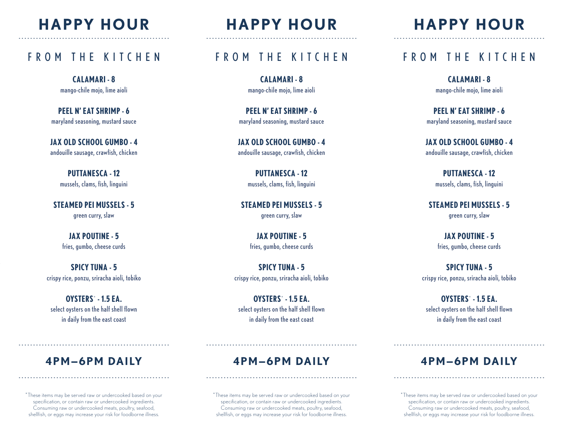# **HAPPY HOUR** - - --------------------------------------------------

# FROM THE KITCHEN

**CALAMARI - 8** mango-chile mojo, lime aioli

### **PEEL N' EAT SHRIMP - 6**

maryland seasoning, mustard sauce

### **JAX OLD SCHOOL GUMBO - 4**

andouille sausage, crawfish, chicken

#### **PUTTANESCA - 12**

mussels, clams, fish, linguini

#### **STEAMED PEI MUSSELS - 5**

green curry, slaw

#### **JAX POUTINE - 5**

fries, gumbo, cheese curds

#### **SPICY TUNA - 5**

crispy rice, ponzu, sriracha aioli, tobiko

#### **OYSTERS**\* **- 1.5 EA.**

select oysters on the half shell flown in daily from the east coast

# **4PM—6PM DAILY**

----------------------------------------------------

----------------------------------------------------

\*These items may be served raw or undercooked based on your specification, or contain raw or undercooked ingredients. Consuming raw or undercooked meats, poultry, seafood, shellfish, or eggs may increase your risk for foodborne illness.